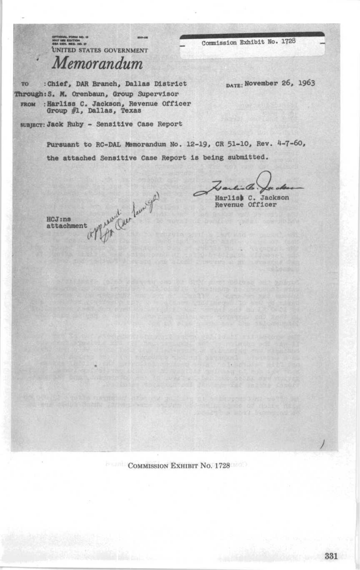Commission Exhibit No. 1728

UNITED STATES GOVERNMENT Memorandum

: Chief, DAR Branch, Dallas District TO Through: S. M. Orenbaun, Group Supervisor FROM : Harliss C. Jackson, Revenue Officer<br>Group #1, Dallas, Texas DATE: November 26, 1963

sunjacr: Jack Ruby - Sensitive Case Report

Peter Can Lam ger

Pursuant to RC-DAL Memorandum No. 12-19, CR 51-10, Rev. 4-7-60, the attached Sensitive Case Report is being submitted.

Harlist C. Jackson Revenue Officer

 $H C J : n s$ attachment

**COMMISSION EXHIBIT NO. 1728**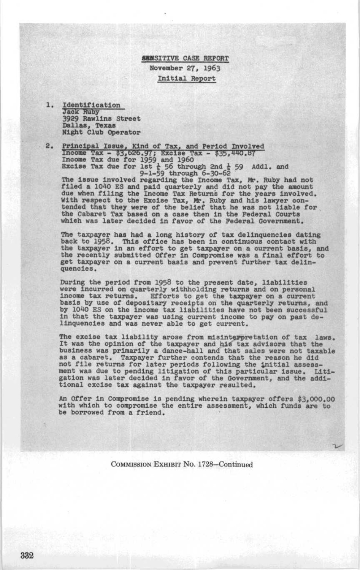6BNSITIVE CASE REPORT November 27, 1963 Initial Report

1. Identification **Jack Ruby** 3929 Rawlins Street Dallas, Texas Night Club Operator

2. Principal Issue, Kind of Tax, and Period Involved  $\frac{\text{Trcome}}{\text{Trcome}}$   $\frac{\text{Trcose}}{\text{Trcose}}$  and  $\frac{1960}{1959}$  and  $\frac{1960}{1959}$ Excise Tax due for lst  $\frac{1}{6}$  56 through 2nd  $\frac{1}{6}$  59 Addl. and<br>The issue involved recending the Income Tex May Puby b

The issue involved regarding the Income Tax, Mr. Ruby had not filed a 1040 ES and paid quarterly and did not pay the amount due when filing the Income Tax Returns for the years involved.<br>With respect to the Excise Tax, Mr. Ruby and his lawyer con-<br>tended that they were of the belief that he was not liable for the Cabaret Tax based on a case then in the Federal Courts which was later decided in favor of the Federal Government.

The taxpayer has had a long history of tax delinquencies dating back to 1958. This office has been in continuous contact with the taxpayer in an effort to get taxpayer on a current basis, and the recently submitted Offer in Compromise was a final effort to get taxpayer on a current basis and prevent further tax delinquencies .

During the period from 1958 to the present date, liabilities were incurred on quarterly withholding returns and on personal income tax returns. Efforts to get the taxpayer on a current basis by use of depositary receipts on the quarterly returns, and by 1040 ES on the income tax liabilities have not been successful in that the taxpayer was using current income to pay on past de-linquencies and was never able to get current .

The excise tax liability arose from misinterpretation of tax laws. It was the opinion of the taxpayer and his tax advisors that the business was primarily a dance-hall and that sales were not taxable as a cabaret. Taxpayer further contends that the reason he did not file returns for later periods following the initial assessment was due to pending litigation of this particular issue. Litigation was later decided in favor of the Government, and the additional excise tax against the taxpayer resulted .

An Offer in Compromise is pending wherein taxpayer offers \$3,000.00 with which to compromise the entire assessment, which funds are to be borrowed from a friend.

COMMISSION EXHIBIT No. 1728-Continued